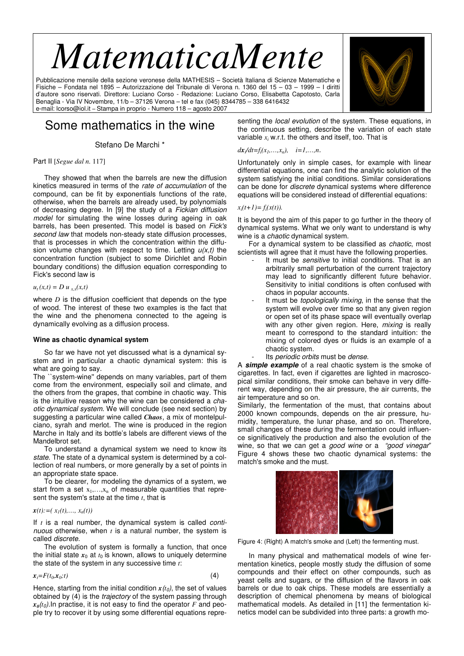# *MatematicaMente*

Pubblicazione mensile della sezione veronese della MATHESIS – Società Italiana di Scienze Matematiche e Fisiche – Fondata nel 1895 – Autorizzazione del Tribunale di Verona n. 1360 del 15 – 03 – 1999 – I diritti d'autore sono riservati. Direttore: Luciano Corso - Redazione: Luciano Corso, Elisabetta Capotosto, Carla Benaglia - Via IV Novembre, 11/b – 37126 Verona – tel e fax (045) 8344785 – 338 6416432 e-mail: lcorso@iol.it – Stampa in proprio - Numero 118 – agosto 2007

## Some mathematics in the wine

Stefano De Marchi \*

#### Part II [*Segue dal n.* 117]

They showed that when the barrels are new the diffusion kinetics measured in terms of the rate of accumulation of the compound, can be fit by exponentials functions of the rate, otherwise, when the barrels are already used, by polynomials of decreasing degree. In [9] the study of a Fickian diffusion model for simulating the wine losses during ageing in oak barrels, has been presented. This model is based on Fick's second law that models non-steady state diffusion processes, that is processes in which the concentration within the diffusion volume changes with respect to time. Letting  $u(x,t)$  the concentration function (subject to some Dirichlet and Robin boundary conditions) the diffusion equation corresponding to Fick's second law is

#### $u_t(x,t) = D u_{xx}(x,t)$

where *D* is the diffusion coefficient that depends on the type of wood. The interest of these two examples is the fact that the wine and the phenomena connected to the ageing is dynamically evolving as a diffusion process.

#### **Wine as chaotic dynamical system**

So far we have not yet discussed what is a dynamical system and in particular a chaotic dynamical system: this is what are going to say.

The ``system-wine'' depends on many variables, part of them come from the environment, especially soil and climate, and the others from the grapes, that combine in chaotic way. This is the intuitive reason why the wine can be considered a chaotic dynamical system. We will conclude (see next section) by suggesting a particular wine called *Chaos*, a mix of montelpulciano, syrah and merlot. The wine is produced in the region Marche in Italy and its bottle's labels are different views of the Mandelbrot set.

To understand a dynamical system we need to know its state. The state of a dynamical system is determined by a collection of real numbers, or more generally by a set of points in an appropriate state space.

To be clearer, for modeling the dynamics of a system, we start from a set  $x_1, \ldots, x_n$  of measurable quantities that represent the system's state at the time *t*, that is

#### $x(t) := (x_1(t), \ldots, x_n(t))$

If *t* is a real number, the dynamical system is called *conti*nuous otherwise, when *t* is a natural number, the system is called discrete.

The evolution of system is formally a function, that once the initial state  $x_0$  at  $t_0$  is known, allows to uniquely determine the state of the system in any successive time *t*:

$$
x_t = F(t_0, x_0; t) \tag{4}
$$

Hence, starting from the initial condition  $x(t_0)$ , the set of values obtained by (4) is the *trajectory* of the system passing through *x0* (*t*0).In practise, it is not easy to find the operator *F* and people try to recover it by using some differential equations repre-

senting the *local evolution* of the system. These equations, in the continuous setting, describe the variation of each state variable *x<sup>i</sup>* w.r.t. the others and itself, too. That is

 $dx_i/dt = f_i(x_1,...,x_n), \quad i = 1,...,n.$ 

Unfortunately only in simple cases, for example with linear differential equations, one can find the analytic solution of the system satisfying the initial conditions. Similar considerations can be done for discrete dynamical systems where difference equations will be considered instead of differential equations:

#### $x_i(t+1) = f_i(x(t)).$

It is beyond the aim of this paper to go further in the theory of dynamical systems. What we only want to understand is why wine is a *chaotic* dynamical system.

For a dynamical system to be classified as chaotic, most scientists will agree that it must have the following properties.

- It must be *sensitive* to initial conditions. That is an arbitrarily small perturbation of the current trajectory may lead to significantly different future behavior. Sensitivity to initial conditions is often confused with chaos in popular accounts.
- It must be topologically mixing, in the sense that the system will evolve over time so that any given region or open set of its phase space will eventually overlap with any other given region. Here, mixing is really meant to correspond to the standard intuition: the mixing of colored dyes or fluids is an example of a chaotic system.
- Its periodic orbits must be dense.

A **simple example** of a real chaotic system is the smoke of cigarettes. In fact, even if cigarettes are lighted in macroscopical similar conditions, their smoke can behave in very different way, depending on the air pressure, the air currents, the air temperature and so on.

Similarly, the fermentation of the must, that contains about 2000 known compounds, depends on the air pressure, humidity, temperature, the lunar phase, and so on. Therefore, small changes of these during the fermentation could influence significatively the production and also the evolution of the wine, so that we can get a good wine or a "good vinegar" Figure 4 shows these two chaotic dynamical systems: the match's smoke and the must.



Figure 4: (Right) A match's smoke and (Left) the fermenting must.

In many physical and mathematical models of wine fermentation kinetics, people mostly study the diffusion of some compounds and their effect on other compounds, such as yeast cells and sugars, or the diffusion of the flavors in oak barrels or due to oak chips. These models are essentially a description of chemical phenomena by means of biological mathematical models. As detailed in [11] the fermentation kinetics model can be subdivided into three parts: a growth mo